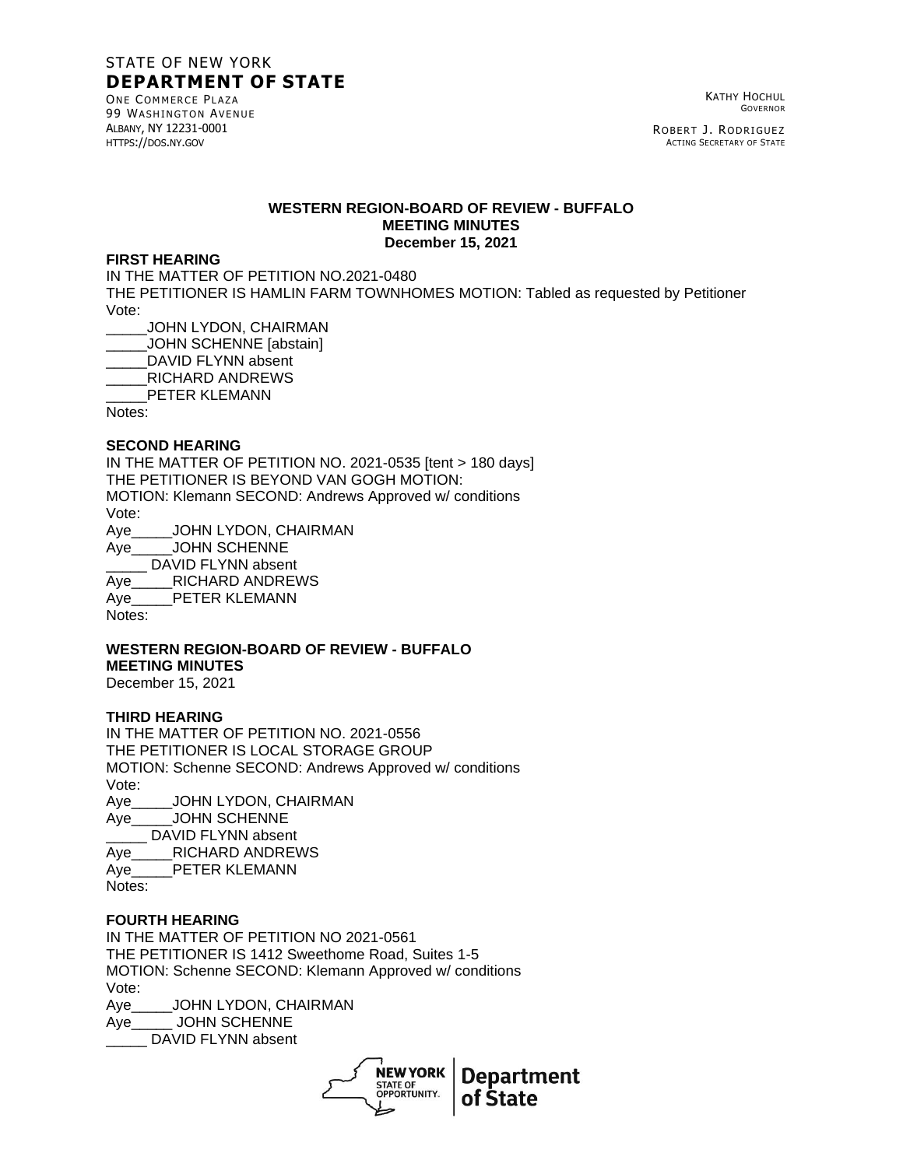# STATE OF NEW YORK **DEPARTMENT OF STATE**

ONE COMMERCE PLAZA **99 WASHINGTON AVENUE** ALBANY, NY 12231-0001 HTTPS://DOS.NY.GOV

KATHY HOCHUL GOVERNOR

ROBERT J. RODRIGUEZ ACTING SECRETARY OF STATE

### **WESTERN REGION-BOARD OF REVIEW - BUFFALO MEETING MINUTES December 15, 2021**

#### **FIRST HEARING**

IN THE MATTER OF PETITION NO.2021-0480 THE PETITIONER IS HAMLIN FARM TOWNHOMES MOTION: Tabled as requested by Petitioner Vote: \_\_\_\_\_JOHN LYDON, CHAIRMAN

\_\_\_\_\_JOHN SCHENNE [abstain]

DAVID FLYNN absent

\_\_\_\_\_RICHARD ANDREWS

PETER KLEMANN

Notes:

### **SECOND HEARING**

IN THE MATTER OF PETITION NO. 2021-0535 [tent > 180 days] THE PETITIONER IS BEYOND VAN GOGH MOTION: MOTION: Klemann SECOND: Andrews Approved w/ conditions Vote: Aye\_\_\_\_\_JOHN LYDON, CHAIRMAN Aye\_\_\_\_\_JOHN SCHENNE

DAVID FLYNN absent

Aye RICHARD ANDREWS Aye\_\_\_\_\_PETER KLEMANN

Notes:

# **WESTERN REGION-BOARD OF REVIEW - BUFFALO MEETING MINUTES**

December 15, 2021

## **THIRD HEARING**

IN THE MATTER OF PETITION NO. 2021-0556 THE PETITIONER IS LOCAL STORAGE GROUP MOTION: Schenne SECOND: Andrews Approved w/ conditions Vote: Aye\_\_\_\_\_JOHN LYDON, CHAIRMAN Aye\_\_\_\_\_JOHN SCHENNE \_\_\_\_\_ DAVID FLYNN absent Aye RICHARD ANDREWS Aye\_\_\_\_\_PETER KLEMANN Notes:

# **FOURTH HEARING**

IN THE MATTER OF PETITION NO 2021-0561 THE PETITIONER IS 1412 Sweethome Road, Suites 1-5 MOTION: Schenne SECOND: Klemann Approved w/ conditions Vote: Aye\_\_\_\_\_JOHN LYDON, CHAIRMAN Aye\_\_\_\_\_ JOHN SCHENNE

DAVID FLYNN absent